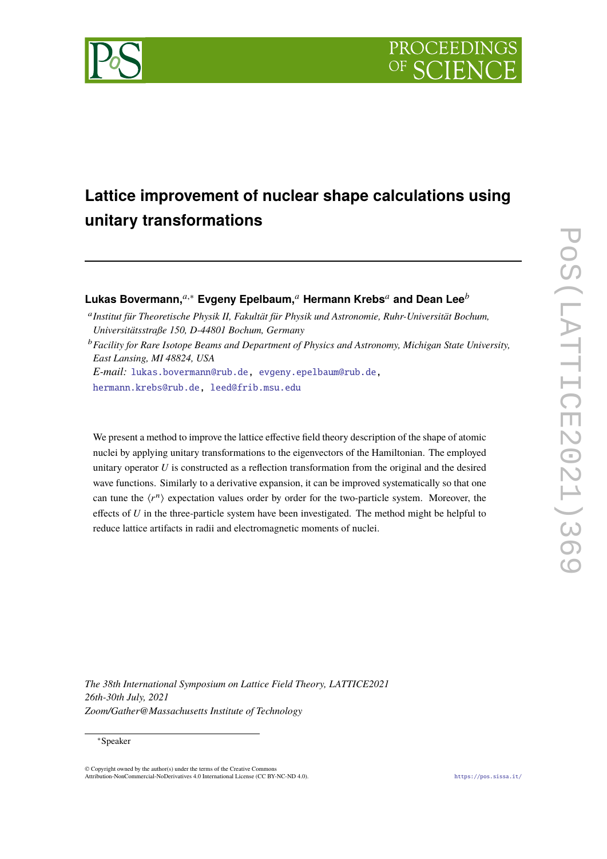



# **Lattice improvement of nuclear shape calculations using unitary transformations**

# **Lukas Bovermann,**<sup>*a*,∗</sup> **Evgeny Epelbaum,**<sup>*a*</sup> **Hermann Krebs<sup>***a***</sup> and Dean Lee<sup>***b***</sup>**

<sup>a</sup> Institut für Theoretische Physik II, Fakultät für Physik und Astronomie, Ruhr-Universität Bochum, *Universitätsstraße 150, D-44801 Bochum, Germany*

<sup>*b*</sup> Facility for Rare Isotope Beams and Department of Physics and Astronomy, Michigan State University, *East Lansing, MI 48824, USA*

*E-mail:* [lukas.bovermann@rub.de,](mailto:lukas.bovermann@rub.de) [evgeny.epelbaum@rub.de,](mailto:evgeny.epelbaum@rub.de) [hermann.krebs@rub.de,](mailto:hermann.krebs@rub.de) [leed@frib.msu.edu](mailto:leed@frib.msu.edu)

We present a method to improve the lattice effective field theory description of the shape of atomic nuclei by applying unitary transformations to the eigenvectors of the Hamiltonian. The employed unitary operator  $U$  is constructed as a reflection transformation from the original and the desired wave functions. Similarly to a derivative expansion, it can be improved systematically so that one can tune the  $\langle r^n \rangle$  expectation values order by order for the two-particle system. Moreover, the effects of  $U$  in the three-particle system have been investigated. The method might be helpful to reduce lattice artifacts in radii and electromagnetic moments of nuclei.

*The 38th International Symposium on Lattice Field Theory, LATTICE2021 26th-30th July, 2021 Zoom/Gather@Massachusetts Institute of Technology*

#### <sup>∗</sup>Speaker

 $\odot$  Copyright owned by the author(s) under the terms of the Creative Common Attribution-NonCommercial-NoDerivatives 4.0 International License (CC BY-NC-ND 4.0). <https://pos.sissa.it/>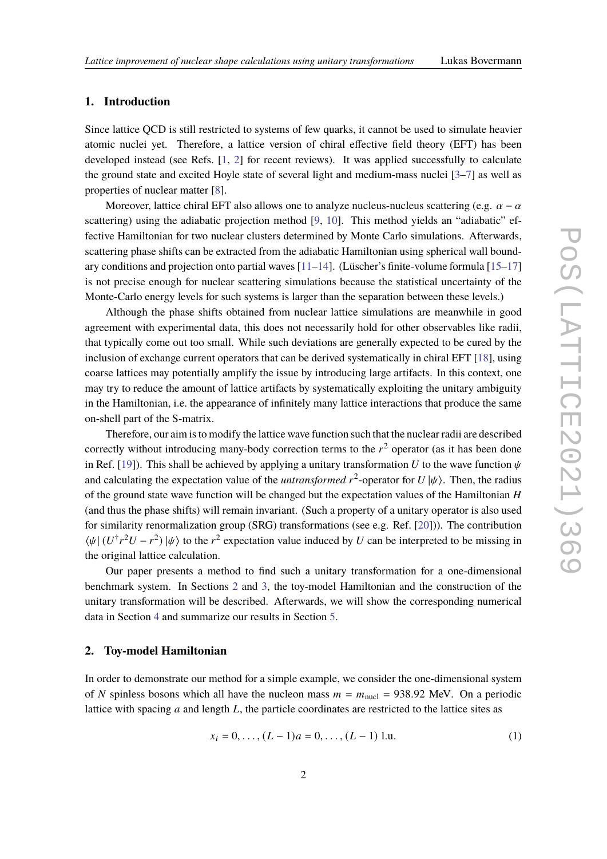# **1. Introduction**

Since lattice QCD is still restricted to systems of few quarks, it cannot be used to simulate heavier atomic nuclei yet. Therefore, a lattice version of chiral effective field theory (EFT) has been developed instead (see Refs. [\[1,](#page-7-0) [2\]](#page-7-1) for recent reviews). It was applied successfully to calculate the ground state and excited Hoyle state of several light and medium-mass nuclei [\[3–](#page-7-2)[7\]](#page-7-3) as well as properties of nuclear matter [\[8\]](#page-7-4).

Moreover, lattice chiral EFT also allows one to analyze nucleus-nucleus scattering (e.g.  $\alpha - \alpha$ scattering) using the adiabatic projection method [\[9,](#page-7-5) [10\]](#page-7-6). This method yields an "adiabatic" effective Hamiltonian for two nuclear clusters determined by Monte Carlo simulations. Afterwards, scattering phase shifts can be extracted from the adiabatic Hamiltonian using spherical wall boundary conditions and projection onto partial waves  $[11-14]$  $[11-14]$ . (Lüscher's finite-volume formula  $[15-17]$  $[15-17]$ ) is not precise enough for nuclear scattering simulations because the statistical uncertainty of the Monte-Carlo energy levels for such systems is larger than the separation between these levels.)

Although the phase shifts obtained from nuclear lattice simulations are meanwhile in good agreement with experimental data, this does not necessarily hold for other observables like radii, that typically come out too small. While such deviations are generally expected to be cured by the inclusion of exchange current operators that can be derived systematically in chiral EFT [\[18\]](#page-8-3), using coarse lattices may potentially amplify the issue by introducing large artifacts. In this context, one may try to reduce the amount of lattice artifacts by systematically exploiting the unitary ambiguity in the Hamiltonian, i.e. the appearance of infinitely many lattice interactions that produce the same on-shell part of the S-matrix.

Therefore, our aim is to modify the lattice wave function such that the nuclear radii are described correctly without introducing many-body correction terms to the  $r<sup>2</sup>$  operator (as it has been done in Ref. [\[19\]](#page-8-4)). This shall be achieved by applying a unitary transformation U to the wave function  $\psi$ and calculating the expectation value of the *untransformed*  $r^2$ -operator for  $U|\psi\rangle$ . Then, the radius of the ground state wave function will be changed but the expectation values of the Hamiltonian  $H$ (and thus the phase shifts) will remain invariant. (Such a property of a unitary operator is also used for similarity renormalization group (SRG) transformations (see e.g. Ref. [\[20\]](#page-8-5))). The contribution  $\langle \psi | (U^{\dagger} r^2 U - r^2) | \psi \rangle$  to the  $r^2$  expectation value induced by U can be interpreted to be missing in the original lattice calculation.

Our paper presents a method to find such a unitary transformation for a one-dimensional benchmark system. In Sections [2](#page-1-0) and [3,](#page-2-0) the toy-model Hamiltonian and the construction of the unitary transformation will be described. Afterwards, we will show the corresponding numerical data in Section [4](#page-5-0) and summarize our results in Section [5.](#page-6-0)

#### <span id="page-1-0"></span>**2. Toy-model Hamiltonian**

In order to demonstrate our method for a simple example, we consider the one-dimensional system of N spinless bosons which all have the nucleon mass  $m = m_{\text{nucl}} = 938.92$  MeV. On a periodic lattice with spacing  $a$  and length  $L$ , the particle coordinates are restricted to the lattice sites as

$$
x_i = 0, \dots, (L-1)a = 0, \dots, (L-1) \text{ l.u.}
$$
 (1)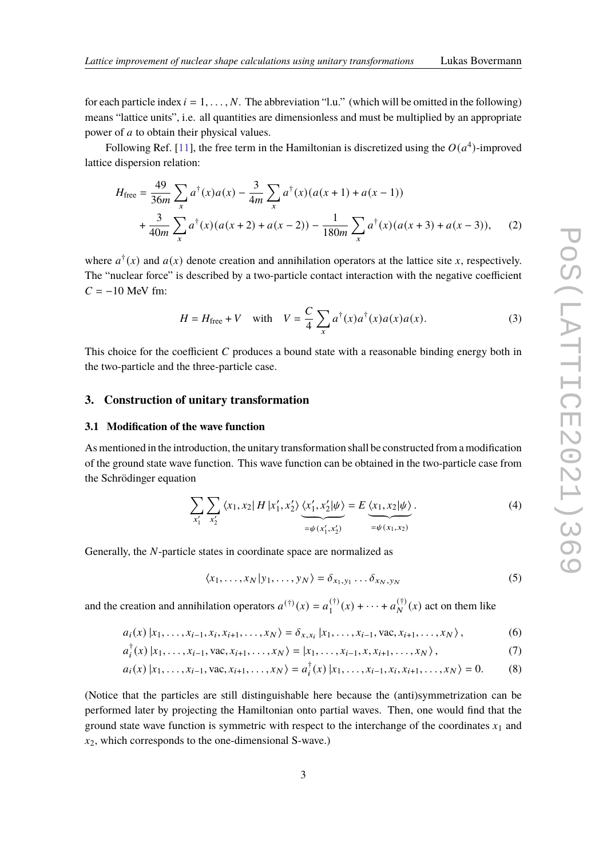for each particle index  $i = 1, \ldots, N$ . The abbreviation "l.u." (which will be omitted in the following) means "lattice units", i.e. all quantities are dimensionless and must be multiplied by an appropriate power of  $a$  to obtain their physical values.

Following Ref. [\[11\]](#page-7-7), the free term in the Hamiltonian is discretized using the  $O(a^4)$ -improved lattice dispersion relation:

$$
H_{\text{free}} = \frac{49}{36m} \sum_{x} a^{\dagger}(x) a(x) - \frac{3}{4m} \sum_{x} a^{\dagger}(x) (a(x+1) + a(x-1))
$$
  
+ 
$$
\frac{3}{40m} \sum_{x} a^{\dagger}(x) (a(x+2) + a(x-2)) - \frac{1}{180m} \sum_{x} a^{\dagger}(x) (a(x+3) + a(x-3)),
$$
 (2)

where  $a^{\dagger}(x)$  and  $a(x)$  denote creation and annihilation operators at the lattice site x, respectively. The "nuclear force" is described by a two-particle contact interaction with the negative coefficient  $C = -10$  MeV fm:

$$
H = H_{\text{free}} + V \quad \text{with} \quad V = \frac{C}{4} \sum_{x} a^{\dagger}(x) a^{\dagger}(x) a(x) a(x).
$$
 (3)

This choice for the coefficient  $C$  produces a bound state with a reasonable binding energy both in the two-particle and the three-particle case.

#### <span id="page-2-0"></span>**3. Construction of unitary transformation**

#### **3.1 Modification of the wave function**

As mentioned in the introduction, the unitary transformation shall be constructed from a modification of the ground state wave function. This wave function can be obtained in the two-particle case from the Schrödinger equation

$$
\sum_{x'_1} \sum_{x'_2} \langle x_1, x_2 | H | x'_1, x'_2 \rangle \underbrace{\langle x'_1, x'_2 | \psi \rangle}_{= \psi(x'_1, x'_2)} = E \underbrace{\langle x_1, x_2 | \psi \rangle}_{= \psi(x_1, x_2)}.
$$
 (4)

Generally, the  $N$ -particle states in coordinate space are normalized as

<span id="page-2-1"></span>
$$
\langle x_1, \ldots, x_N | y_1, \ldots, y_N \rangle = \delta_{x_1, y_1} \ldots \delta_{x_N, y_N}
$$
 (5)

and the creation and annihilation operators  $a^{(\dagger)}(x) = a_1^{(\dagger)}$  $1^{(+)}_{1}(x) + \cdots + a_{N}^{(+)}(x)$  act on them like

$$
a_i(x) | x_1, \dots, x_{i-1}, x_i, x_{i+1}, \dots, x_N \rangle = \delta_{x, x_i} | x_1, \dots, x_{i-1}, \text{vac}, x_{i+1}, \dots, x_N \rangle, \tag{6}
$$

$$
a_i^{\dagger}(x) | x_1, \dots, x_{i-1}, \text{vac}, x_{i+1}, \dots, x_N \rangle = | x_1, \dots, x_{i-1}, x, x_{i+1}, \dots, x_N \rangle, \tag{7}
$$

$$
a_i(x) | x_1, \dots, x_{i-1}, \text{vac}, x_{i+1}, \dots, x_N \rangle = a_i^{\dagger}(x) | x_1, \dots, x_{i-1}, x_i, x_{i+1}, \dots, x_N \rangle = 0. \tag{8}
$$

(Notice that the particles are still distinguishable here because the (anti)symmetrization can be performed later by projecting the Hamiltonian onto partial waves. Then, one would find that the ground state wave function is symmetric with respect to the interchange of the coordinates  $x_1$  and  $x_2$ , which corresponds to the one-dimensional S-wave.)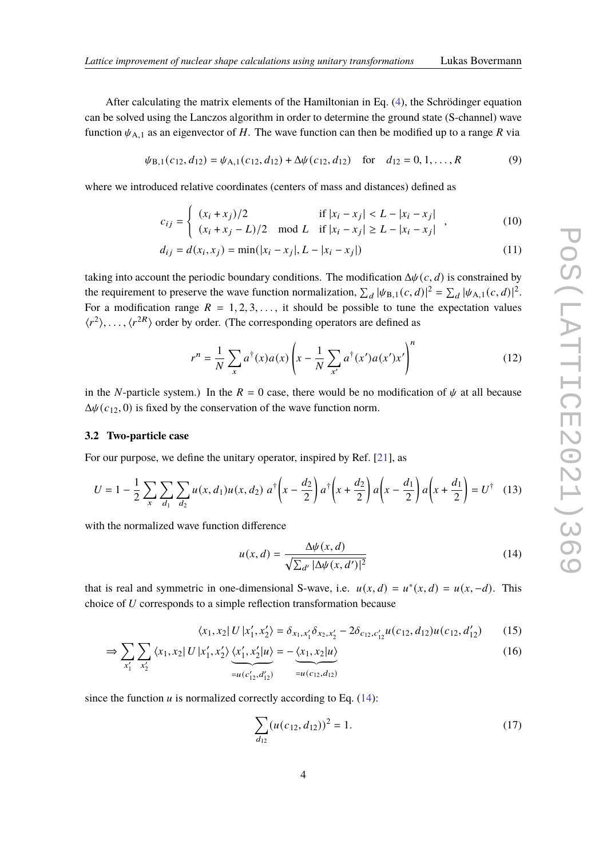After calculating the matrix elements of the Hamiltonian in Eq. [\(4\)](#page-2-1), the Schrödinger equation can be solved using the Lanczos algorithm in order to determine the ground state (S-channel) wave function  $\psi_{A,1}$  as an eigenvector of H. The wave function can then be modified up to a range R via

$$
\psi_{B,1}(c_{12}, d_{12}) = \psi_{A,1}(c_{12}, d_{12}) + \Delta \psi(c_{12}, d_{12}) \text{ for } d_{12} = 0, 1, ..., R
$$
 (9)

where we introduced relative coordinates (centers of mass and distances) defined as

$$
c_{ij} = \begin{cases} (x_i + x_j)/2 & \text{if } |x_i - x_j| < L - |x_i - x_j| \\ (x_i + x_j - L)/2 & \text{mod } L \quad \text{if } |x_i - x_j| \ge L - |x_i - x_j| \end{cases}
$$
(10)

$$
d_{ij} = d(x_i, x_j) = \min(|x_i - x_j|, L - |x_i - x_j|)
$$
\n(11)

taking into account the periodic boundary conditions. The modification  $\Delta \psi(c, d)$  is constrained by the requirement to preserve the wave function normalization,  $\sum_d |\psi_{B,1}(c, d)|^2 = \sum_d |\psi_{A,1}(c, d)|^2$ . For a modification range  $R = 1, 2, 3, \ldots$ , it should be possible to tune the expectation values  $\langle r^2 \rangle, \ldots, \langle r^{2R} \rangle$  order by order. (The corresponding operators are defined as

$$
r^n = \frac{1}{N} \sum_{x} a^{\dagger}(x) a(x) \left( x - \frac{1}{N} \sum_{x'} a^{\dagger}(x') a(x') x' \right)^n \tag{12}
$$

in the N-particle system.) In the  $R = 0$  case, there would be no modification of  $\psi$  at all because  $\Delta \psi(c_{12}, 0)$  is fixed by the conservation of the wave function norm.

#### **3.2 Two-particle case**

For our purpose, we define the unitary operator, inspired by Ref. [\[21\]](#page-8-6), as

$$
U = 1 - \frac{1}{2} \sum_{x} \sum_{d_1} \sum_{d_2} u(x, d_1) u(x, d_2) a^{\dagger} \left(x - \frac{d_2}{2}\right) a^{\dagger} \left(x + \frac{d_2}{2}\right) a \left(x - \frac{d_1}{2}\right) a \left(x + \frac{d_1}{2}\right) = U^{\dagger} \quad (13)
$$

with the normalized wave function difference

<span id="page-3-1"></span><span id="page-3-0"></span>
$$
u(x,d) = \frac{\Delta \psi(x,d)}{\sqrt{\sum_{d'} |\Delta \psi(x,d')|^2}}
$$
(14)

that is real and symmetric in one-dimensional S-wave, i.e.  $u(x, d) = u^*(x, d) = u(x, -d)$ . This choice of  $U$  corresponds to a simple reflection transformation because

$$
\langle x_1, x_2 | U | x_1', x_2' \rangle = \delta_{x_1, x_1'} \delta_{x_2, x_2'} - 2 \delta_{c_{12}, c_{12}'} u(c_{12}, d_{12}) u(c_{12}, d_{12}') \tag{15}
$$

$$
\Rightarrow \sum_{x'_1} \sum_{x'_2} \langle x_1, x_2 | U | x'_1, x'_2 \rangle \underbrace{\langle x'_1, x'_2 | u \rangle}_{= u(c'_{12}, d'_{12})} = -\underbrace{\langle x_1, x_2 | u \rangle}_{= u(c_{12}, d_{12})}
$$
(16)

since the function  $u$  is normalized correctly according to Eq. [\(14\)](#page-3-0):

$$
\sum_{d_{12}} (u(c_{12}, d_{12}))^2 = 1.
$$
 (17)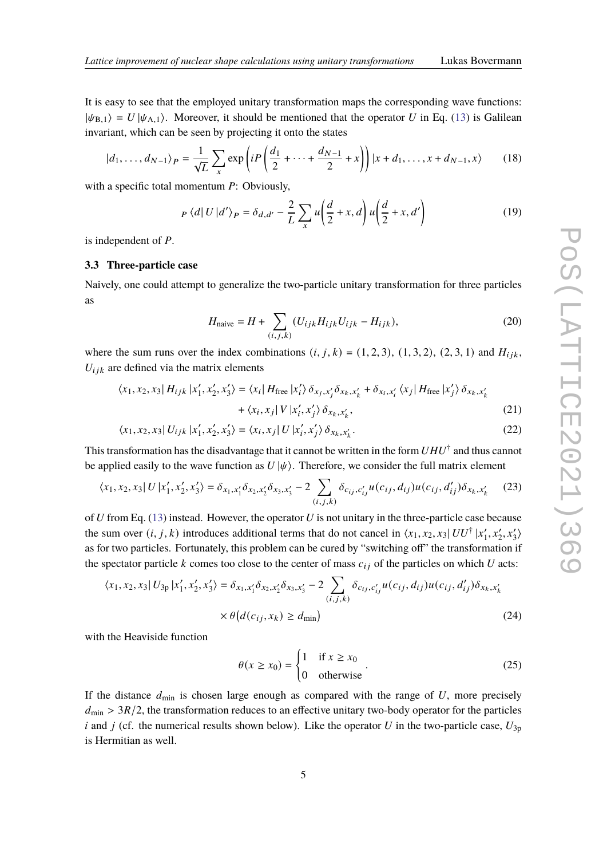It is easy to see that the employed unitary transformation maps the corresponding wave functions:  $|\psi_{B,1}\rangle = U |\psi_{A,1}\rangle$ . Moreover, it should be mentioned that the operator U in Eq. [\(13\)](#page-3-1) is Galilean invariant, which can be seen by projecting it onto the states

$$
|d_1, ..., d_{N-1}\rangle_P = \frac{1}{\sqrt{L}} \sum_{x} \exp\left(iP\left(\frac{d_1}{2} + \dots + \frac{d_{N-1}}{2} + x\right)\right)|x + d_1, ..., x + d_{N-1}, x\rangle \tag{18}
$$

with a specific total momentum  $P$ : Obviously,

$$
P\langle d|U|d'\rangle_P = \delta_{d,d'} - \frac{2}{L}\sum_x u\left(\frac{d}{2} + x, d\right)u\left(\frac{d}{2} + x, d'\right)
$$
(19)

is independent of  $P$ .

#### <span id="page-4-0"></span>**3.3 Three-particle case**

Naively, one could attempt to generalize the two-particle unitary transformation for three particles as

$$
H_{\text{naive}} = H + \sum_{(i,j,k)} (U_{ijk} H_{ijk} U_{ijk} - H_{ijk}), \tag{20}
$$

where the sum runs over the index combinations  $(i, j, k) = (1, 2, 3), (1, 3, 2), (2, 3, 1)$  and  $H_{ijk}$ ,  $U_{ijk}$  are defined via the matrix elements

$$
\langle x_1, x_2, x_3 | H_{ijk} | x_1', x_2', x_3' \rangle = \langle x_i | H_{\text{free}} | x_i' \rangle \delta_{x_j, x_j'} \delta_{x_k, x_k'} + \delta_{x_i, x_i'} \langle x_j | H_{\text{free}} | x_j' \rangle \delta_{x_k, x_k'} + \langle x_i, x_j | V | x_i', x_j' \rangle \delta_{x_k, x_k'},
$$
\n(21)

$$
\langle x_1, x_2, x_3 | U_{ijk} | x_1', x_2', x_3' \rangle = \langle x_i, x_j | U | x_i', x_j' \rangle \delta_{x_k, x_k'}.
$$
\n(22)

This transformation has the disadvantage that it cannot be written in the form  $UHU^\dagger$  and thus cannot be applied easily to the wave function as  $U|\psi\rangle$ . Therefore, we consider the full matrix element

$$
\langle x_1, x_2, x_3 | U | x_1', x_2', x_3' \rangle = \delta_{x_1, x_1'} \delta_{x_2, x_2'} \delta_{x_3, x_3'} - 2 \sum_{(i, j, k)} \delta_{c_{ij}, c_{ij}'} u(c_{ij}, d_{ij}) u(c_{ij}, d_{ij}') \delta_{x_k, x_k'} \tag{23}
$$

of  $U$  from Eq. [\(13\)](#page-3-1) instead. However, the operator  $U$  is not unitary in the three-particle case because the sum over  $(i, j, k)$  introduces additional terms that do not cancel in  $\langle x_1, x_2, x_3 | U U^{\dagger} | x_1^{\dagger}$  $\langle x_1', x_2', x_3'\rangle$ as for two particles. Fortunately, this problem can be cured by "switching off" the transformation if the spectator particle  $k$  comes too close to the center of mass  $c_{ij}$  of the particles on which  $U$  acts:

$$
\langle x_1, x_2, x_3 | U_{3p} | x_1', x_2', x_3' \rangle = \delta_{x_1, x_1'} \delta_{x_2, x_2'} \delta_{x_3, x_3'} - 2 \sum_{(i,j,k)} \delta_{c_{ij}, c_{ij}'} u(c_{ij}, d_{ij}) u(c_{ij}, d_{ij}') \delta_{x_k, x_k'}\n\times \theta \big(d(c_{ij}, x_k) \ge d_{\min}\big)
$$
\n(24)

with the Heaviside function

$$
\theta(x \ge x_0) = \begin{cases} 1 & \text{if } x \ge x_0 \\ 0 & \text{otherwise} \end{cases} \tag{25}
$$

If the distance  $d_{\text{min}}$  is chosen large enough as compared with the range of  $U$ , more precisely  $d_{\text{min}} > 3R/2$ , the transformation reduces to an effective unitary two-body operator for the particles i and j (cf. the numerical results shown below). Like the operator U in the two-particle case,  $U_{3p}$ is Hermitian as well.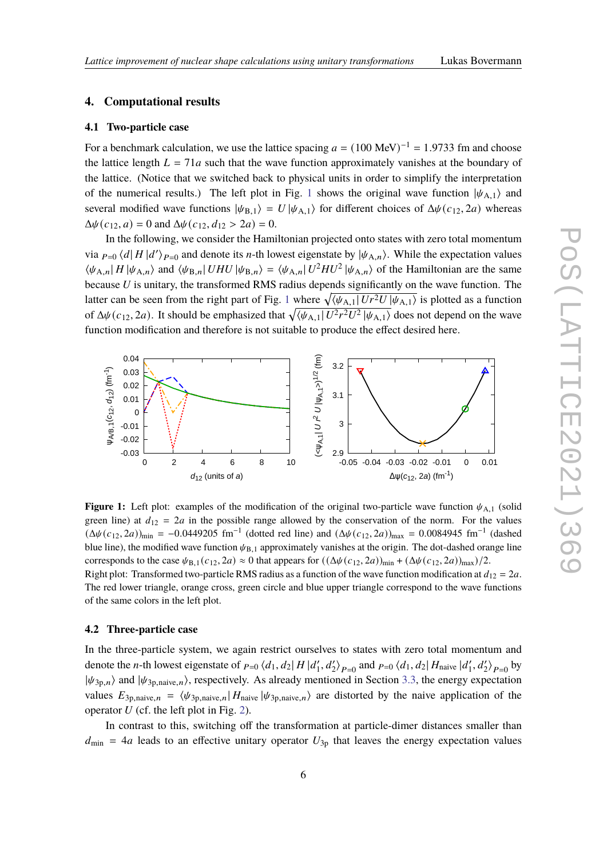#### <span id="page-5-0"></span>**4. Computational results**

#### **4.1 Two-particle case**

For a benchmark calculation, we use the lattice spacing  $a = (100 \text{ MeV})^{-1} = 1.9733 \text{ fm}$  and choose the lattice length  $L = 71a$  such that the wave function approximately vanishes at the boundary of the lattice. (Notice that we switched back to physical units in order to simplify the interpretation of the numerical results.) The left plot in Fig. [1](#page-5-1) shows the original wave function  $|\psi_{A,1}\rangle$  and several modified wave functions  $|\psi_{B,1}\rangle = U |\psi_{A,1}\rangle$  for different choices of  $\Delta \psi(c_{12}, 2a)$  whereas  $\Delta \psi(c_{12}, a) = 0$  and  $\Delta \psi(c_{12}, d_{12} > 2a) = 0$ .

In the following, we consider the Hamiltonian projected onto states with zero total momentum via  $_{P=0}$   $\langle d|H|d'\rangle_{P=0}$  and denote its *n*-th lowest eigenstate by  $|\psi_{A,n}\rangle$ . While the expectation values  $\langle \psi_{A,n} | H | \psi_{A,n} \rangle$  and  $\langle \psi_{B,n} | U H U | \psi_{B,n} \rangle = \langle \psi_{A,n} | U^2 H U^2 | \psi_{A,n} \rangle$  of the Hamiltonian are the same because  $U$  is unitary, the transformed RMS radius depends significantly on the wave function. The latter can be seen from the right part of Fig. [1](#page-5-1) where  $\sqrt{\langle \psi_{A,1}| U r^2 U | \psi_{A,1}\rangle}$  is plotted as a function of  $\Delta\psi(c_{12}, 2a)$ . It should be emphasized that  $\sqrt{\langle\psi_{A,1}|U^2r^2U^2|\psi_{A,1}\rangle}$  does not depend on the wave function modification and therefore is not suitable to produce the effect desired here.

<span id="page-5-1"></span>

**Figure 1:** Left plot: examples of the modification of the original two-particle wave function  $\psi_{A,1}$  (solid green line) at  $d_{12} = 2a$  in the possible range allowed by the conservation of the norm. For the values  $(\Delta\psi(c_{12}, 2a))_{\text{min}} = -0.0449205 \text{ fm}^{-1}$  (dotted red line) and  $(\Delta\psi(c_{12}, 2a))_{\text{max}} = 0.0084945 \text{ fm}^{-1}$  (dashed blue line), the modified wave function  $\psi_{B,1}$  approximately vanishes at the origin. The dot-dashed orange line corresponds to the case  $\psi_{B,1}(c_{12}, 2a) \approx 0$  that appears for  $((\Delta \psi(c_{12}, 2a))_{min} + (\Delta \psi(c_{12}, 2a))_{max})/2$ . Right plot: Transformed two-particle RMS radius as a function of the wave function modification at  $d_{12} = 2a$ .

The red lower triangle, orange cross, green circle and blue upper triangle correspond to the wave functions of the same colors in the left plot.

#### **4.2 Three-particle case**

In the three-particle system, we again restrict ourselves to states with zero total momentum and denote the *n*-th lowest eigenstate of  $_{P=0}$   $\langle d_1, d_2 | H | d'_1 \rangle$  $\binom{1}{1}$ ,  $d_2$   $\ge$   $\binom{1}{1}$  and  $\binom{1}{2}$   $\binom{d_1}{3}$   $\binom{d_2}{1}$   $H_{\text{naive}}$   $\binom{d_1}{1}$  $\binom{n'}{1}$ ,  $d'_2$   $\rightarrow P=0$  by  $|\psi_{3p,n}\rangle$  and  $|\psi_{3p,native,n}\rangle$ , respectively. As already mentioned in Section [3.3,](#page-4-0) the energy expectation values  $E_{3p,native,n} = \langle \psi_{3p,native,n} | H_{naive} | \psi_{3p,native,n} \rangle$  are distorted by the naive application of the operator  $U$  (cf. the left plot in Fig. [2\)](#page-6-1).

In contrast to this, switching off the transformation at particle-dimer distances smaller than  $d_{\text{min}}$  = 4*a* leads to an effective unitary operator  $U_{3p}$  that leaves the energy expectation values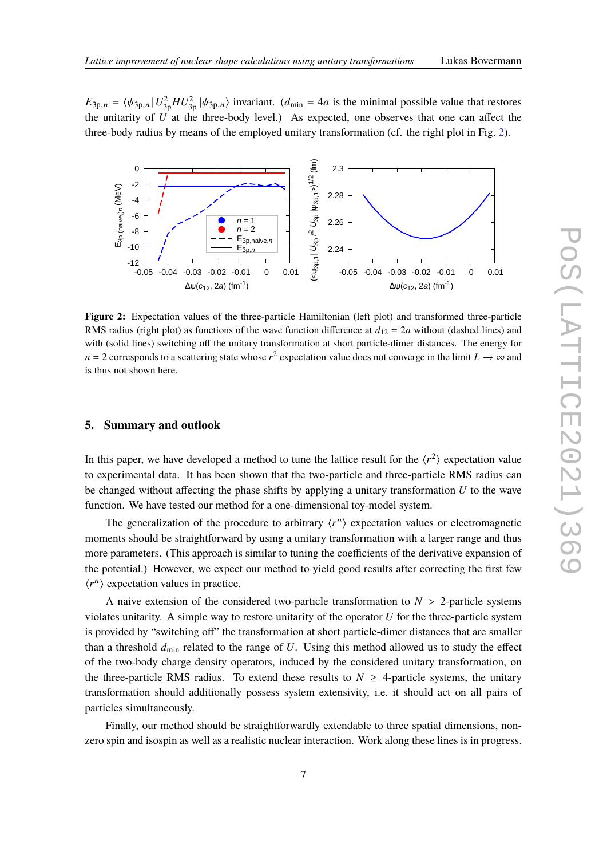$E_{3p,n} = \langle \psi_{3p,n} | U_{3p}^2 H U_{3p,n}^2 \rangle$  invariant.  $(d_{\min} = 4a$  is the minimal possible value that restores the unitarity of  $\vec{U}$  at the three-body level.) As expected, one observes that one can affect the three-body radius by means of the employed unitary transformation (cf. the right plot in Fig. [2\)](#page-6-1).

<span id="page-6-1"></span>

**Figure 2:** Expectation values of the three-particle Hamiltonian (left plot) and transformed three-particle RMS radius (right plot) as functions of the wave function difference at  $d_{12} = 2a$  without (dashed lines) and with (solid lines) switching off the unitary transformation at short particle-dimer distances. The energy for  $n = 2$  corresponds to a scattering state whose  $r^2$  expectation value does not converge in the limit  $L \to \infty$  and is thus not shown here.

### <span id="page-6-0"></span>**5. Summary and outlook**

In this paper, we have developed a method to tune the lattice result for the  $\langle r^2 \rangle$  expectation value to experimental data. It has been shown that the two-particle and three-particle RMS radius can be changed without affecting the phase shifts by applying a unitary transformation  $U$  to the wave function. We have tested our method for a one-dimensional toy-model system.

The generalization of the procedure to arbitrary  $\langle r^n \rangle$  expectation values or electromagnetic moments should be straightforward by using a unitary transformation with a larger range and thus more parameters. (This approach is similar to tuning the coefficients of the derivative expansion of the potential.) However, we expect our method to yield good results after correcting the first few  $\langle r^n \rangle$  expectation values in practice.

A naive extension of the considered two-particle transformation to  $N > 2$ -particle systems violates unitarity. A simple way to restore unitarity of the operator  $U$  for the three-particle system is provided by "switching off" the transformation at short particle-dimer distances that are smaller than a threshold  $d_{\text{min}}$  related to the range of U. Using this method allowed us to study the effect of the two-body charge density operators, induced by the considered unitary transformation, on the three-particle RMS radius. To extend these results to  $N \geq 4$ -particle systems, the unitary transformation should additionally possess system extensivity, i.e. it should act on all pairs of particles simultaneously.

Finally, our method should be straightforwardly extendable to three spatial dimensions, nonzero spin and isospin as well as a realistic nuclear interaction. Work along these lines is in progress.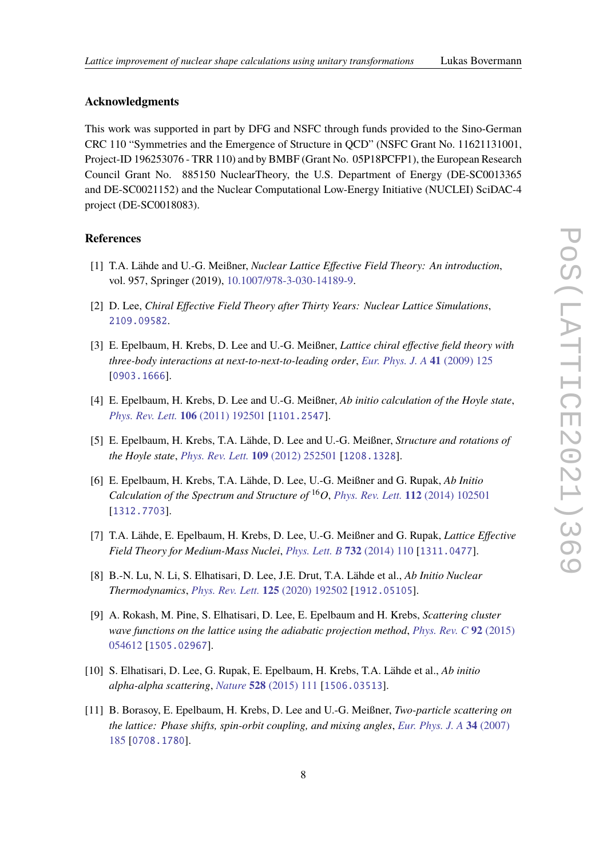# **Acknowledgments**

This work was supported in part by DFG and NSFC through funds provided to the Sino-German CRC 110 "Symmetries and the Emergence of Structure in QCD" (NSFC Grant No. 11621131001, Project-ID 196253076 - TRR 110) and by BMBF (Grant No. 05P18PCFP1), the European Research Council Grant No. 885150 NuclearTheory, the U.S. Department of Energy (DE-SC0013365 and DE-SC0021152) and the Nuclear Computational Low-Energy Initiative (NUCLEI) SciDAC-4 project (DE-SC0018083).

### **References**

- <span id="page-7-0"></span>[1] T.A. Lähde and U.-G. Meißner, *Nuclear Lattice Effective Field Theory: An introduction*, vol. 957, Springer (2019), [10.1007/978-3-030-14189-9.](https://doi.org/10.1007/978-3-030-14189-9)
- <span id="page-7-1"></span>[2] D. Lee, *Chiral Effective Field Theory after Thirty Years: Nuclear Lattice Simulations*, [2109.09582](https://arxiv.org/abs/2109.09582).
- <span id="page-7-2"></span>[3] E. Epelbaum, H. Krebs, D. Lee and U.-G. Meißner, *Lattice chiral effective field theory with three-body interactions at next-to-next-to-leading order*, *[Eur. Phys. J. A](https://doi.org/10.1140/epja/i2009-10764-y)* **41** (2009) 125 [[0903.1666](https://arxiv.org/abs/0903.1666)].
- [4] E. Epelbaum, H. Krebs, D. Lee and U.-G. Meißner, *Ab initio calculation of the Hoyle state*, *[Phys. Rev. Lett.](https://doi.org/10.1103/PhysRevLett.106.192501)* **106** (2011) 192501 [[1101.2547](https://arxiv.org/abs/1101.2547)].
- [5] E. Epelbaum, H. Krebs, T.A. Lähde, D. Lee and U.-G. Meißner, *Structure and rotations of the Hoyle state*, *[Phys. Rev. Lett.](https://doi.org/10.1103/PhysRevLett.109.252501)* **109** (2012) 252501 [[1208.1328](https://arxiv.org/abs/1208.1328)].
- [6] E. Epelbaum, H. Krebs, T.A. Lähde, D. Lee, U.-G. Meißner and G. Rupak, *Ab Initio Calculation of the Spectrum and Structure of* <sup>16</sup>*O*, *[Phys. Rev. Lett.](https://doi.org/10.1103/PhysRevLett.112.102501)* **112** (2014) 102501 [[1312.7703](https://arxiv.org/abs/1312.7703)].
- <span id="page-7-3"></span>[7] T.A. Lähde, E. Epelbaum, H. Krebs, D. Lee, U.-G. Meißner and G. Rupak, *Lattice Effective Field Theory for Medium-Mass Nuclei*, *[Phys. Lett. B](https://doi.org/10.1016/j.physletb.2014.03.023)* **732** (2014) 110 [[1311.0477](https://arxiv.org/abs/1311.0477)].
- <span id="page-7-4"></span>[8] B.-N. Lu, N. Li, S. Elhatisari, D. Lee, J.E. Drut, T.A. Lähde et al., *Ab Initio Nuclear Thermodynamics*, *[Phys. Rev. Lett.](https://doi.org/10.1103/PhysRevLett.125.192502)* **125** (2020) 192502 [[1912.05105](https://arxiv.org/abs/1912.05105)].
- <span id="page-7-5"></span>[9] A. Rokash, M. Pine, S. Elhatisari, D. Lee, E. Epelbaum and H. Krebs, *Scattering cluster wave functions on the lattice using the adiabatic projection method*, *[Phys. Rev. C](https://doi.org/10.1103/PhysRevC.92.054612)* **92** (2015) [054612](https://doi.org/10.1103/PhysRevC.92.054612) [[1505.02967](https://arxiv.org/abs/1505.02967)].
- <span id="page-7-6"></span>[10] S. Elhatisari, D. Lee, G. Rupak, E. Epelbaum, H. Krebs, T.A. Lähde et al., *Ab initio alpha-alpha scattering*, *Nature* **528** [\(2015\) 111](https://doi.org/10.1038/nature16067) [[1506.03513](https://arxiv.org/abs/1506.03513)].
- <span id="page-7-7"></span>[11] B. Borasoy, E. Epelbaum, H. Krebs, D. Lee and U.-G. Meißner, *Two-particle scattering on the lattice: Phase shifts, spin-orbit coupling, and mixing angles*, *[Eur. Phys. J. A](https://doi.org/10.1140/epja/i2007-10500-9)* **34** (2007) [185](https://doi.org/10.1140/epja/i2007-10500-9) [[0708.1780](https://arxiv.org/abs/0708.1780)].